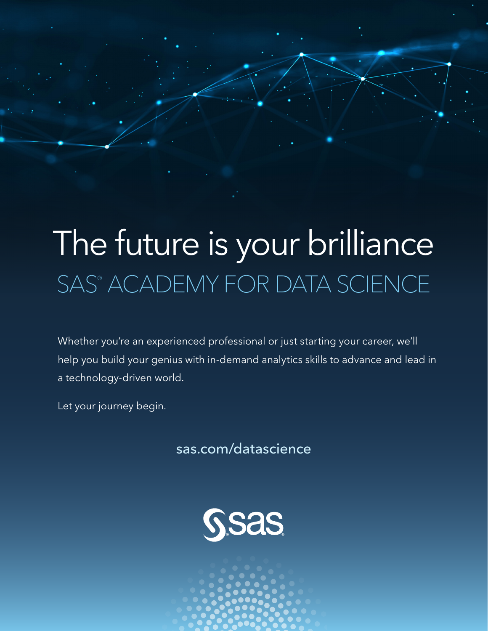# The future is your brilliance SAS® ACADEMY FOR DATA SCIENCE

Whether you're an experienced professional or just starting your career, we'll help you build your genius with in-demand analytics skills to advance and lead in a technology-driven world.

Let your journey begin.

sas.com/datascience